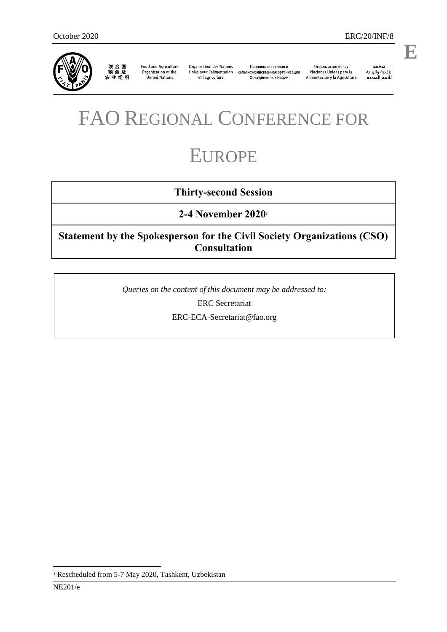

联合国<br>粮食及 农业组织

Food and Agriculture<br>Organization of the United Nations

et l'agriculture

Organisation des Nations Продовольственная и<br>Unies pour l'alimentation сельскохозяйственная организация Объединенных Наций

Organización de las<br>Naciones Unidas para la Alimentación y la Agricultura

منظمة منطقة<br>الأغذية والزراعة<br>للأمم المتحدة

.

**E**

# FAO REGIONAL CONFERENCE FOR

# EUROPE

# **Thirty-second Session**

**2-4 November 2020<sup>1</sup>**

**Statement by the Spokesperson for the Civil Society Organizations (CSO) Consultation**

*Queries on the content of this document may be addressed to:*

ERC Secretariat

ERC-ECA-Secretariat@fao.org

 $\overline{a}$ 

<sup>1</sup> Rescheduled from 5-7 May 2020, Tashkent, Uzbekistan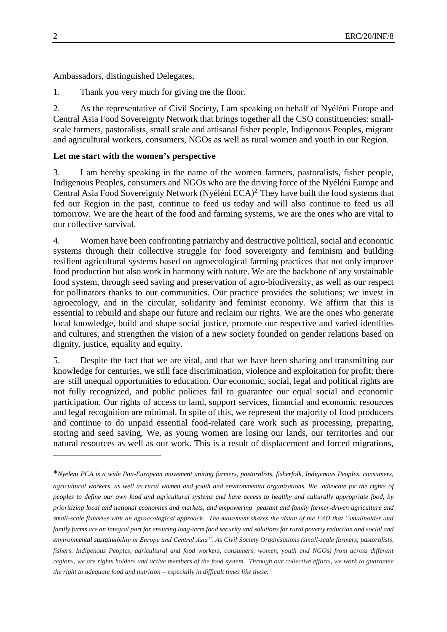Ambassadors, distinguished Delegates,

1. Thank you very much for giving me the floor.

2. As the representative of Civil Society, I am speaking on behalf of Nyéléni Europe and Central Asia Food Sovereignty Network that brings together all the CSO constituencies: smallscale farmers, pastoralists, small scale and artisanal fisher people, Indigenous Peoples, migrant and agricultural workers, consumers, NGOs as well as rural women and youth in our Region.

#### **Let me start with the women's perspective**

3. I am hereby speaking in the name of the women farmers, pastoralists, fisher people, Indigenous Peoples, consumers and NGOs who are the driving force of the Nyéléni Europe and Central Asia Food Sovereignty Network (Nyéléni ECA)<sup>2.</sup> They have built the food systems that fed our Region in the past, continue to feed us today and will also continue to feed us all tomorrow. We are the heart of the food and farming systems, we are the ones who are vital to our collective survival.

4. Women have been confronting patriarchy and destructive political, social and economic systems through their collective struggle for food sovereignty and feminism and building resilient agricultural systems based on agroecological farming practices that not only improve food production but also work in harmony with nature. We are the backbone of any sustainable food system, through seed saving and preservation of agro-biodiversity, as well as our respect for pollinators thanks to our communities. Our practice provides the solutions; we invest in agroecology, and in the circular, solidarity and feminist economy. We affirm that this is essential to rebuild and shape our future and reclaim our rights. We are the ones who generate local knowledge, build and shape social justice, promote our respective and varied identities and cultures, and strengthen the vision of a new society founded on gender relations based on dignity, justice, equality and equity.

5. Despite the fact that we are vital, and that we have been sharing and transmitting our knowledge for centuries, we still face discrimination, violence and exploitation for profit; there are still unequal opportunities to education. Our economic, social, legal and political rights are not fully recognized, and public policies fail to guarantee our equal social and economic participation. Our rights of access to land, support services, financial and economic resources and legal recognition are minimal. In spite of this, we represent the majority of food producers and continue to do unpaid essential food-related care work such as processing, preparing, storing and seed saving, We, as young women are losing our lands, our territories and our natural resources as well as our work. This is a result of displacement and forced migrations,

 $\overline{a}$ 

<sup>\*</sup>*Nyeleni ECA is a wide Pan-European movement uniting farmers, pastoralists, fisherfolk, Indigenous Peoples, consumers, agricultural workers, as well as rural women and youth and environmental organizations. We advocate for the rights of peoples to define our own food and agricultural systems and have access to healthy and culturally appropriate food, by prioritizing local and national economies and markets, and empowering peasant and family farmer-driven agriculture and small-scale fisheries with an agroecological approach. The movement shares the vision of the FAO that "smallholder and family farms are an integral part for ensuring long-term food security and solutions for rural poverty reduction and social and environmental sustainability in Europe and Central Asia". As Civil Society Organisations (small-scale farmers, pastoralists, fishers, Indigenous Peoples, agricultural and food workers, consumers, women, youth and NGOs) from across different regions, we are rights holders and active members of the food system. Through our collective efforts, we work to guarantee the right to adequate food and nutrition – especially in difficult times like these.*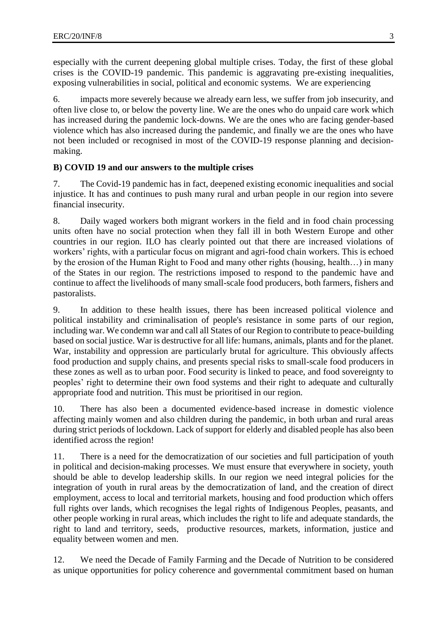especially with the current deepening global multiple crises. Today, the first of these global crises is the COVID-19 pandemic. This pandemic is aggravating pre-existing inequalities, exposing vulnerabilities in social, political and economic systems. We are experiencing

6. impacts more severely because we already earn less, we suffer from job insecurity, and often live close to, or below the poverty line. We are the ones who do unpaid care work which has increased during the pandemic lock-downs. We are the ones who are facing gender-based violence which has also increased during the pandemic, and finally we are the ones who have not been included or recognised in most of the COVID-19 response planning and decisionmaking.

#### **B) COVID 19 and our answers to the multiple crises**

7. The Covid-19 pandemic has in fact, deepened existing economic inequalities and social injustice. It has and continues to push many rural and urban people in our region into severe financial insecurity.

8. Daily waged workers both migrant workers in the field and in food chain processing units often have no social protection when they fall ill in both Western Europe and other countries in our region. ILO has clearly pointed out that there are increased violations of workers' rights, with a particular focus on migrant and agri-food chain workers. This is echoed by the erosion of the Human Right to Food and many other rights (housing, health…) in many of the States in our region. The restrictions imposed to respond to the pandemic have and continue to affect the livelihoods of many small-scale food producers, both farmers, fishers and pastoralists.

9. In addition to these health issues, there has been increased political violence and political instability and criminalisation of people's resistance in some parts of our region, including war. We condemn war and call all States of our Region to contribute to peace-building based on social justice. War is destructive for all life: humans, animals, plants and for the planet. War, instability and oppression are particularly brutal for agriculture. This obviously affects food production and supply chains, and presents special risks to small-scale food producers in these zones as well as to urban poor. Food security is linked to peace, and food sovereignty to peoples' right to determine their own food systems and their right to adequate and culturally appropriate food and nutrition. This must be prioritised in our region.

10. There has also been a documented evidence-based increase in domestic violence affecting mainly women and also children during the pandemic, in both urban and rural areas during strict periods of lockdown. Lack of support for elderly and disabled people has also been identified across the region!

11. There is a need for the democratization of our societies and full participation of youth in political and decision-making processes. We must ensure that everywhere in society, youth should be able to develop leadership skills. In our region we need integral policies for the integration of youth in rural areas by the democratization of land, and the creation of direct employment, access to local and territorial markets, housing and food production which offers full rights over lands, which recognises the legal rights of Indigenous Peoples, peasants, and other people working in rural areas, which includes the right to life and adequate standards, the right to land and territory, seeds, productive resources, markets, information, justice and equality between women and men.

12. We need the Decade of Family Farming and the Decade of Nutrition to be considered as unique opportunities for policy coherence and governmental commitment based on human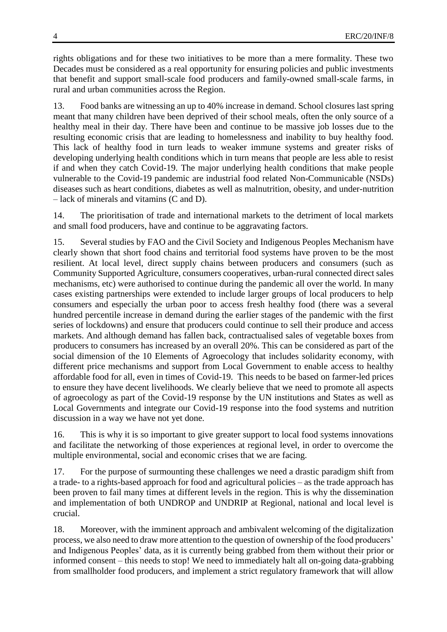rights obligations and for these two initiatives to be more than a mere formality. These two Decades must be considered as a real opportunity for ensuring policies and public investments that benefit and support small-scale food producers and family-owned small-scale farms, in rural and urban communities across the Region.

13. Food banks are witnessing an up to 40% increase in demand. School closures last spring meant that many children have been deprived of their school meals, often the only source of a healthy meal in their day. There have been and continue to be massive job losses due to the resulting economic crisis that are leading to homelessness and inability to buy healthy food. This lack of healthy food in turn leads to weaker immune systems and greater risks of developing underlying health conditions which in turn means that people are less able to resist if and when they catch Covid-19. The major underlying health conditions that make people vulnerable to the Covid-19 pandemic are industrial food related Non-Communicable (NSDs) diseases such as heart conditions, diabetes as well as malnutrition, obesity, and under-nutrition – lack of minerals and vitamins (C and D).

14. The prioritisation of trade and international markets to the detriment of local markets and small food producers, have and continue to be aggravating factors.

15. Several studies by FAO and the Civil Society and Indigenous Peoples Mechanism have clearly shown that short food chains and territorial food systems have proven to be the most resilient. At local level, direct supply chains between producers and consumers (such as Community Supported Agriculture, consumers cooperatives, urban-rural connected direct sales mechanisms, etc) were authorised to continue during the pandemic all over the world. In many cases existing partnerships were extended to include larger groups of local producers to help consumers and especially the urban poor to access fresh healthy food (there was a several hundred percentile increase in demand during the earlier stages of the pandemic with the first series of lockdowns) and ensure that producers could continue to sell their produce and access markets. And although demand has fallen back, contractualised sales of vegetable boxes from producers to consumers has increased by an overall 20%. This can be considered as part of the social dimension of the 10 Elements of Agroecology that includes solidarity economy, with different price mechanisms and support from Local Government to enable access to healthy affordable food for all, even in times of Covid-19. This needs to be based on farmer-led prices to ensure they have decent livelihoods. We clearly believe that we need to promote all aspects of agroecology as part of the Covid-19 response by the UN institutions and States as well as Local Governments and integrate our Covid-19 response into the food systems and nutrition discussion in a way we have not yet done.

16. This is why it is so important to give greater support to local food systems innovations and facilitate the networking of those experiences at regional level, in order to overcome the multiple environmental, social and economic crises that we are facing.

17. For the purpose of surmounting these challenges we need a drastic paradigm shift from a trade- to a rights-based approach for food and agricultural policies – as the trade approach has been proven to fail many times at different levels in the region. This is why the dissemination and implementation of both UNDROP and UNDRIP at Regional, national and local level is crucial.

18. Moreover, with the imminent approach and ambivalent welcoming of the digitalization process, we also need to draw more attention to the question of ownership of the food producers' and Indigenous Peoples' data, as it is currently being grabbed from them without their prior or informed consent – this needs to stop! We need to immediately halt all on-going data-grabbing from smallholder food producers, and implement a strict regulatory framework that will allow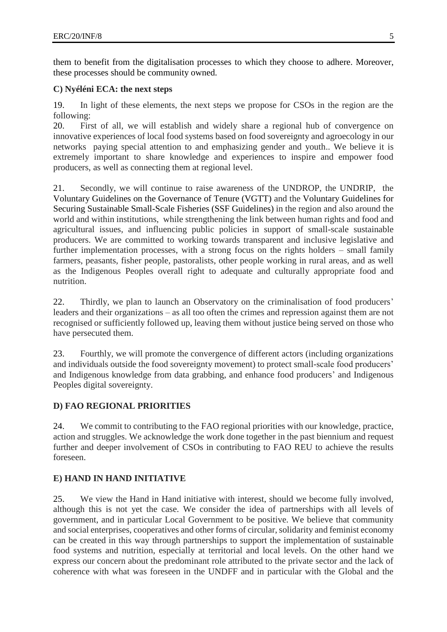them to benefit from the digitalisation processes to which they choose to adhere. Moreover, these processes should be community owned.

#### **C) Nyéléni ECA: the next steps**

19. In light of these elements, the next steps we propose for CSOs in the region are the following:

20. First of all, we will establish and widely share a regional hub of convergence on innovative experiences of local food systems based on food sovereignty and agroecology in our networks paying special attention to and emphasizing gender and youth.. We believe it is extremely important to share knowledge and experiences to inspire and empower food producers, as well as connecting them at regional level.

21. Secondly, we will continue to raise awareness of the UNDROP, the UNDRIP, the Voluntary Guidelines on the Governance of Tenure (VGTT) and the Voluntary Guidelines for Securing Sustainable Small-Scale Fisheries (SSF Guidelines) in the region and also around the world and within institutions, while strengthening the link between human rights and food and agricultural issues, and influencing public policies in support of small-scale sustainable producers. We are committed to working towards transparent and inclusive legislative and further implementation processes, with a strong focus on the rights holders – small family farmers, peasants, fisher people, pastoralists, other people working in rural areas, and as well as the Indigenous Peoples overall right to adequate and culturally appropriate food and nutrition.

22. Thirdly, we plan to launch an Observatory on the criminalisation of food producers' leaders and their organizations – as all too often the crimes and repression against them are not recognised or sufficiently followed up, leaving them without justice being served on those who have persecuted them.

23. Fourthly, we will promote the convergence of different actors (including organizations and individuals outside the food sovereignty movement) to protect small-scale food producers' and Indigenous knowledge from data grabbing, and enhance food producers' and Indigenous Peoples digital sovereignty.

## **D) FAO REGIONAL PRIORITIES**

24. We commit to contributing to the FAO regional priorities with our knowledge, practice, action and struggles. We acknowledge the work done together in the past biennium and request further and deeper involvement of CSOs in contributing to FAO REU to achieve the results foreseen.

## **E) HAND IN HAND INITIATIVE**

25. We view the Hand in Hand initiative with interest, should we become fully involved, although this is not yet the case. We consider the idea of partnerships with all levels of government, and in particular Local Government to be positive. We believe that community and social enterprises, cooperatives and other forms of circular, solidarity and feminist economy can be created in this way through partnerships to support the implementation of sustainable food systems and nutrition, especially at territorial and local levels. On the other hand we express our concern about the predominant role attributed to the private sector and the lack of coherence with what was foreseen in the UNDFF and in particular with the Global and the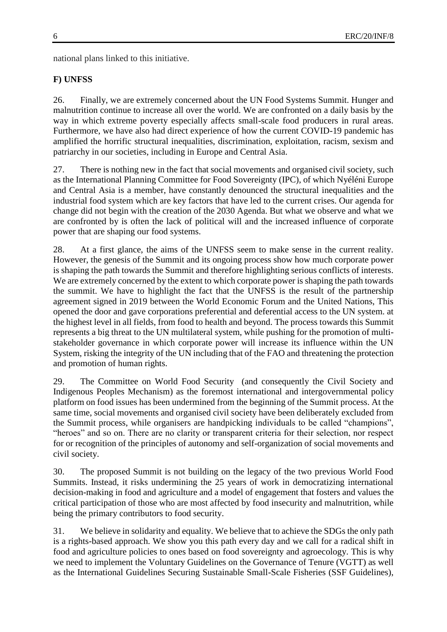national plans linked to this initiative.

# **F) UNFSS**

26. Finally, we are extremely concerned about the UN Food Systems Summit. Hunger and malnutrition continue to increase all over the world. We are confronted on a daily basis by the way in which extreme poverty especially affects small-scale food producers in rural areas. Furthermore, we have also had direct experience of how the current COVID-19 pandemic has amplified the horrific structural inequalities, discrimination, exploitation, racism, sexism and patriarchy in our societies, including in Europe and Central Asia.

27. There is nothing new in the fact that social movements and organised civil society, such as the International Planning Committee for Food Sovereignty (IPC), of which Nyéléni Europe and Central Asia is a member, have constantly denounced the structural inequalities and the industrial food system which are key factors that have led to the current crises. Our agenda for change did not begin with the creation of the 2030 Agenda. But what we observe and what we are confronted by is often the lack of political will and the increased influence of corporate power that are shaping our food systems.

28. At a first glance, the aims of the UNFSS seem to make sense in the current reality. However, the genesis of the Summit and its ongoing process show how much corporate power is shaping the path towards the Summit and therefore highlighting serious conflicts of interests. We are extremely concerned by the extent to which corporate power is shaping the path towards the summit. We have to highlight the fact that the UNFSS is the result of the partnership agreement signed in 2019 between the World Economic Forum and the United Nations, This opened the door and gave corporations preferential and deferential access to the UN system. at the highest level in all fields, from food to health and beyond. The process towards this Summit represents a big threat to the UN multilateral system, while pushing for the promotion of multistakeholder governance in which corporate power will increase its influence within the UN System, risking the integrity of the UN including that of the FAO and threatening the protection and promotion of human rights.

29. The Committee on World Food Security (and consequently the Civil Society and Indigenous Peoples Mechanism) as the foremost international and intergovernmental policy platform on food issues has been undermined from the beginning of the Summit process. At the same time, social movements and organised civil society have been deliberately excluded from the Summit process, while organisers are handpicking individuals to be called "champions", "heroes" and so on. There are no clarity or transparent criteria for their selection, nor respect for or recognition of the principles of autonomy and self-organization of social movements and civil society.

30. The proposed Summit is not building on the legacy of the two previous World Food Summits. Instead, it risks undermining the 25 years of work in democratizing international decision-making in food and agriculture and a model of engagement that fosters and values the critical participation of those who are most affected by food insecurity and malnutrition, while being the primary contributors to food security.

31. We believe in solidarity and equality. We believe that to achieve the SDGs the only path is a rights-based approach. We show you this path every day and we call for a radical shift in food and agriculture policies to ones based on food sovereignty and agroecology. This is why we need to implement the Voluntary Guidelines on the Governance of Tenure (VGTT) as well as the International Guidelines Securing Sustainable Small-Scale Fisheries (SSF Guidelines),